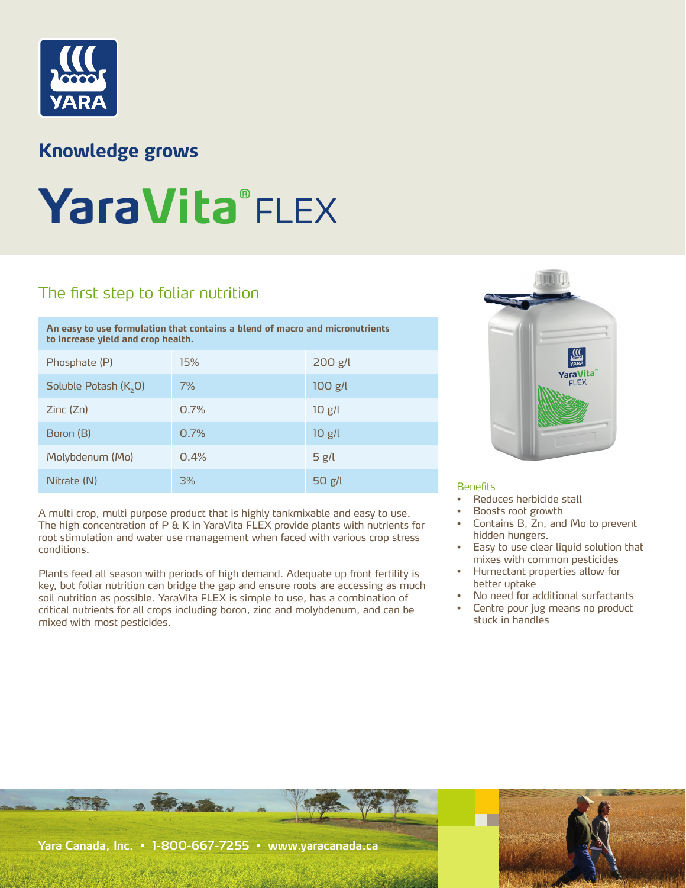

TATAL

## **Knowledge grows**

# **YaraVita®** FLEX

## The first step to foliar nutrition

| An easy to use formulation that contains a blend of macro and micronutrients<br>to increase yield and crop health. |      |           |
|--------------------------------------------------------------------------------------------------------------------|------|-----------|
| Phosphate (P)                                                                                                      | 15%  | $200$ g/l |
| Soluble Potash $(K, 0)$                                                                                            | 7%   | $100$ g/l |
| Zinc(Zn)                                                                                                           | 0.7% | $10$ g/l  |
| Boron (B)                                                                                                          | 0.7% | $10$ g/l  |
| Molybdenum (Mo)                                                                                                    | 0.4% | 5 $g/l$   |

A multi crop, multi purpose product that is highly tankmixable and easy to use. The high concentration of P & K in YaraVita FLEX provide plants with nutrients for root stimulation and water use management when faced with various crop stress conditions.

Nitrate (N) 3% 50 g/l

Plants feed all season with periods of high demand. Adequate up front fertility is key, but foliar nutrition can bridge the gap and ensure roots are accessing as much soil nutrition as possible. YaraVita FLEX is simple to use, has a combination of critical nutrients for all crops including boron, zinc and molybdenum, and can be mixed with most pesticides.



#### **Benefits**

- Reduces herbicide stall
- Boosts root growth
- Contains B, Zn, and Mo to prevent hidden hungers.
- Easy to use clear liquid solution that mixes with common pesticides
- Humectant properties allow for better uptake
- No need for additional surfactants
- Centre pour jug means no product stuck in handles